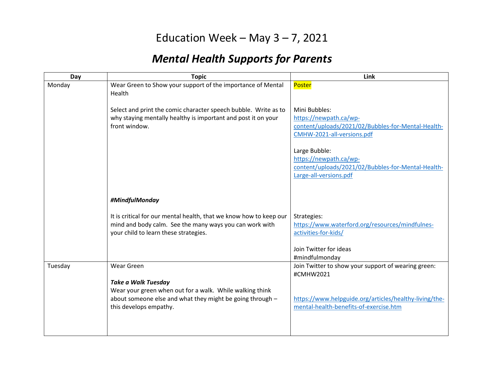## Education Week – May  $3 - 7$ , 2021

## *Mental Health Supports for Parents*

| Day     | <b>Topic</b>                                                                                                                                                                  | Link                                                                                                                        |
|---------|-------------------------------------------------------------------------------------------------------------------------------------------------------------------------------|-----------------------------------------------------------------------------------------------------------------------------|
| Monday  | Wear Green to Show your support of the importance of Mental<br>Health                                                                                                         | Poster                                                                                                                      |
|         | Select and print the comic character speech bubble. Write as to<br>why staying mentally healthy is important and post it on your<br>front window.                             | Mini Bubbles:<br>https://newpath.ca/wp-<br>content/uploads/2021/02/Bubbles-for-Mental-Health-<br>CMHW-2021-all-versions.pdf |
|         |                                                                                                                                                                               | Large Bubble:<br>https://newpath.ca/wp-<br>content/uploads/2021/02/Bubbles-for-Mental-Health-<br>Large-all-versions.pdf     |
|         | #MindfulMonday                                                                                                                                                                |                                                                                                                             |
|         | It is critical for our mental health, that we know how to keep our<br>mind and body calm. See the many ways you can work with<br>your child to learn these strategies.        | Strategies:<br>https://www.waterford.org/resources/mindfulnes-<br>activities-for-kids/<br>Join Twitter for ideas            |
|         |                                                                                                                                                                               | #mindfulmonday                                                                                                              |
| Tuesday | Wear Green                                                                                                                                                                    | Join Twitter to show your support of wearing green:<br>#CMHW2021                                                            |
|         | <b>Take a Walk Tuesday</b><br>Wear your green when out for a walk. While walking think<br>about someone else and what they might be going through -<br>this develops empathy. | https://www.helpguide.org/articles/healthy-living/the-<br>mental-health-benefits-of-exercise.htm                            |